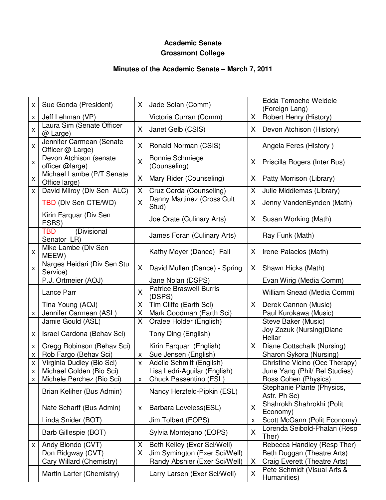# **Academic Senate Grossmont College**

# **Minutes of the Academic Senate – March 7, 2011**

| x | Sue Gonda (President)                        | X                       | Jade Solan (Comm)                        |   | Edda Temoche-Weldele<br>(Foreign Lang)     |
|---|----------------------------------------------|-------------------------|------------------------------------------|---|--------------------------------------------|
| x | Jeff Lehman (VP)                             |                         | Victoria Curran (Comm)                   | X | Robert Henry (History)                     |
| X | Laura Sim (Senate Officer<br>@ Large)        | X                       | Janet Gelb (CSIS)                        | X | Devon Atchison (History)                   |
| Χ | Jennifer Carmean (Senate<br>Officer @ Large) | X                       | Ronald Norman (CSIS)                     |   | Angela Feres (History)                     |
| X | Devon Atchison (senate<br>officer @large)    | X                       | <b>Bonnie Schmiege</b><br>(Counseling)   | X | Priscilla Rogers (Inter Bus)               |
| X | Michael Lambe (P/T Senate<br>Office large)   | X                       | Mary Rider (Counseling)                  | X | Patty Morrison (Library)                   |
| X | David Milroy (Div Sen ALC)                   | X                       | Cruz Cerda (Counseling)                  | X | Julie Middlemas (Library)                  |
|   | TBD (Div Sen CTE/WD)                         | X                       | Danny Martinez (Cross Cult<br>Stud)      | Χ | Jenny VandenEynden (Math)                  |
|   | Kirin Farquar (Div Sen<br>ESBS)              |                         | Joe Orate (Culinary Arts)                | X | Susan Working (Math)                       |
|   | (Divisional<br>TBD<br>Senator LR)            |                         | James Foran (Culinary Arts)              |   | Ray Funk (Math)                            |
| X | Mike Lambe (Div Sen<br>MEEW)                 |                         | Kathy Meyer (Dance) - Fall               | X | Irene Palacios (Math)                      |
| X | Narges Heidari (Div Sen Stu<br>Service)      | X                       | David Mullen (Dance) - Spring            | X | Shawn Hicks (Math)                         |
|   | P.J. Ortmeier (AOJ)                          |                         | Jane Nolan (DSPS)                        |   | Evan Wirig (Media Comm)                    |
|   | Lance Parr                                   | $\overline{\mathsf{X}}$ | <b>Patrice Braswell-Burris</b><br>(DSPS) |   | William Snead (Media Comm)                 |
|   | Tina Young (AOJ)                             | X                       | Tim Cliffe (Earth Sci)                   | X | Derek Cannon (Music)                       |
| X | Jennifer Carmean (ASL)                       | X                       | Mark Goodman (Earth Sci)                 |   | Paul Kurokawa (Music)                      |
|   | Jamie Gould (ASL)                            | X                       | Oralee Holder (English)                  |   | Steve Baker (Music)                        |
| x | Israel Cardona (Behav Sci)                   |                         | Tony Ding (English)                      |   | Joy Zozuk (Nursing) Diane<br>Hellar        |
| Χ | Gregg Robinson (Behav Sci)                   |                         | Kirin Farquar (English)                  | X | Diane Gottschalk (Nursing)                 |
| X | Rob Fargo (Behav Sci)                        | $\pmb{\times}$          | Sue Jensen (English)                     |   | Sharon Sykora (Nursing)                    |
| X | Virginia Dudley (Bio Sci)                    | X                       | Adelle Schmitt (English)                 |   | Christine Vicino (Occ Therapy)             |
| X | Michael Golden (Bio Sci)                     |                         | Lisa Ledri-Aguilar (English)             |   | June Yang (Phil/ Rel Studies)              |
| X | Michele Perchez (Bio Sci)                    | $\mathsf{X}^-$          | Chuck Passentino (ESL)                   |   | Ross Cohen (Physics)                       |
|   | Brian Keliher (Bus Admin)                    |                         | Nancy Herzfeld-Pipkin (ESL)              |   | Stephanie Plante (Physics,<br>Astr. Ph Sc) |
|   | Nate Scharff (Bus Admin)                     | X                       | Barbara Loveless(ESL)                    | Χ | Shahrokh Shahrokhi (Polit<br>Economy)      |
|   | Linda Snider (BOT)                           |                         | Jim Tolbert (EOPS)                       | X | Scott McGann (Polit Economy)               |
|   | Barb Gillespie (BOT)                         |                         | Sylvia Montejano (EOPS)                  | X | Lorenda Seibold-Phalan (Resp<br>Ther)      |
| x | Andy Biondo (CVT)                            | X                       | Beth Kelley (Exer Sci/Well)              |   | Rebecca Handley (Resp Ther)                |
|   | Don Ridgway (CVT)                            | X                       | Jim Symington (Exer Sci/Well)            |   | Beth Duggan (Theatre Arts)                 |
|   | Cary Willard (Chemistry)                     |                         | Randy Abshier (Exer Sci/Well)            | X | Craig Everett (Theatre Arts)               |
|   | Martin Larter (Chemistry)                    |                         | Larry Larsen (Exer Sci/Well)             | X | Pete Schmidt (Visual Arts &<br>Humanities) |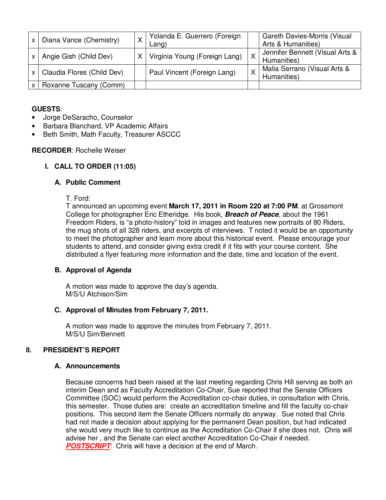|          | Diana Vance (Chemistry)    | Yolanda E. Guerrero (Foreign<br>Lang) |   | Gareth Davies-Morris (Visual<br>Arts & Humanities) |
|----------|----------------------------|---------------------------------------|---|----------------------------------------------------|
| $\times$ | Angie Gish (Child Dev)     | Virginia Young (Foreign Lang)         | X | Jennifer Bennett (Visual Arts &<br>Humanities)     |
|          | Claudia Flores (Child Dev) | Paul Vincent (Foreign Lang)           | X | Malia Serrano (Visual Arts &<br>Humanities)        |
|          | Roxanne Tuscany (Comm)     |                                       |   |                                                    |

# **GUESTS**:

- Jorge DeSaracho, Counselor
- Barbara Blanchard, VP Academic Affairs
- Beth Smith, Math Faculty, Treasurer ASCCC

#### **RECORDER**: Rochelle Weiser

# **I. CALL TO ORDER (11:05)**

# **A. Public Comment**

#### T. Ford:

T announced an upcoming event **March 17, 2011 in Room 220 at 7:00 PM**. at Grossmont College for photographer Eric Etheridge. His book, **Breach of Peace**, about the 1961 Freedom Riders, is "a photo-history" told in images and features new portraits of 80 Riders, the mug shots of all 328 riders, and excerpts of interviews. T noted it would be an opportunity to meet the photographer and learn more about this historical event. Please encourage your students to attend, and consider giving extra credit if it fits with your course content. She distributed a flyer featuring more information and the date, time and location of the event.

# **B. Approval of Agenda**

A motion was made to approve the day's agenda. M/S/U Atchison/Sim

#### **C. Approval of Minutes from February 7, 2011.**

A motion was made to approve the minutes from February 7, 2011. M/S/U Sim/Bennett

# **II. PRESIDENT'S REPORT**

#### **A. Announcements**

Because concerns had been raised at the last meeting regarding Chris Hill serving as both an interim Dean and as Faculty Accreditation Co-Chair, Sue reported that the Senate Officers Committee (SOC) would perform the Accreditation co-chair duties, in consultation with Chris, this semester. Those duties are: create an accreditation timeline and fill the faculty co-chair positions. This second item the Senate Officers normally do anyway. Sue noted that Chris had not made a decision about applying for the permanent Dean position, but had indicated she would very much like to continue as the Accreditation Co-Chair if she does not. Chris will advise her , and the Senate can elect another Accreditation Co-Chair if needed. **POSTSCRIPT**: Chris will have a decision at the end of March.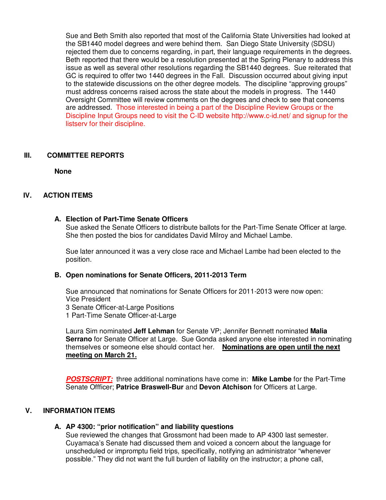Sue and Beth Smith also reported that most of the California State Universities had looked at the SB1440 model degrees and were behind them. San Diego State University (SDSU) rejected them due to concerns regarding, in part, their language requirements in the degrees. Beth reported that there would be a resolution presented at the Spring Plenary to address this issue as well as several other resolutions regarding the SB1440 degrees. Sue reiterated that GC is required to offer two 1440 degrees in the Fall. Discussion occurred about giving input to the statewide discussions on the other degree models. The discipline "approving groups" must address concerns raised across the state about the models in progress. The 1440 Oversight Committee will review comments on the degrees and check to see that concerns are addressed. Those interested in being a part of the Discipline Review Groups or the Discipline Input Groups need to visit the C-ID website http://www.c-id.net/ and signup for the listserv for their discipline.

#### **III. COMMITTEE REPORTS**

**None**

# **IV. ACTION ITEMS**

### **A. Election of Part-Time Senate Officers**

Sue asked the Senate Officers to distribute ballots for the Part-Time Senate Officer at large. She then posted the bios for candidates David Milroy and Michael Lambe.

Sue later announced it was a very close race and Michael Lambe had been elected to the position.

#### **B. Open nominations for Senate Officers, 2011-2013 Term**

Sue announced that nominations for Senate Officers for 2011-2013 were now open: Vice President 3 Senate Officer-at-Large Positions 1 Part-Time Senate Officer-at-Large

Laura Sim nominated **Jeff Lehman** for Senate VP; Jennifer Bennett nominated **Malia Serrano** for Senate Officer at Large. Sue Gonda asked anyone else interested in nominating themselves or someone else should contact her. **Nominations are open until the next meeting on March 21.**

**POSTSCRIPT:** three additional nominations have come in: **Mike Lambe** for the Part-Time Senate Offficer; **Patrice Braswell-Bur** and **Devon Atchison** for Officers at Large.

# **V. INFORMATION ITEMS**

# **A. AP 4300: "prior notification" and liability questions**

Sue reviewed the changes that Grossmont had been made to AP 4300 last semester. Cuyamaca's Senate had discussed them and voiced a concern about the language for unscheduled or impromptu field trips, specifically, notifying an administrator "whenever possible." They did not want the full burden of liability on the instructor; a phone call,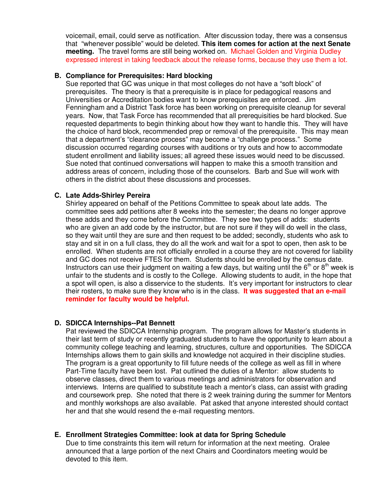voicemail, email, could serve as notification. After discussion today, there was a consensus that "whenever possible" would be deleted. **This item comes for action at the next Senate meeting.** The travel forms are still being worked on. Michael Golden and Virginia Dudley expressed interest in taking feedback about the release forms, because they use them a lot.

#### **B. Compliance for Prerequisites: Hard blocking**

Sue reported that GC was unique in that most colleges do not have a "soft block" of prerequisites. The theory is that a prerequisite is in place for pedagogical reasons and Universities or Accreditation bodies want to know prerequisites are enforced. Jim Fenningham and a District Task force has been working on prerequisite cleanup for several years. Now, that Task Force has recommended that all prerequisities be hard blocked. Sue requested departments to begin thinking about how they want to handle this. They will have the choice of hard block, recommended prep or removal of the prerequisite. This may mean that a department's "clearance process" may become a "challenge process." Some discussion occurred regarding courses with auditions or try outs and how to accommodate student enrollment and liability issues; all agreed these issues would need to be discussed. Sue noted that continued conversations will happen to make this a smooth transition and address areas of concern, including those of the counselors. Barb and Sue will work with others in the district about these discussions and processes.

#### **C. Late Adds-Shirley Pereira**

Shirley appeared on behalf of the Petitions Committee to speak about late adds. The committee sees add petitions after 8 weeks into the semester; the deans no longer approve these adds and they come before the Committee. They see two types of adds: students who are given an add code by the instructor, but are not sure if they will do well in the class, so they wait until they are sure and then request to be added; secondly, students who ask to stay and sit in on a full class, they do all the work and wait for a spot to open, then ask to be enrolled. When students are not officially enrolled in a course they are not covered for liability and GC does not receive FTES for them. Students should be enrolled by the census date. Instructors can use their judgment on waiting a few days, but waiting until the  $6<sup>th</sup>$  or  $8<sup>th</sup>$  week is unfair to the students and is costly to the College. Allowing students to audit, in the hope that a spot will open, is also a disservice to the students. It's very important for instructors to clear their rosters, to make sure they know who is in the class. **It was suggested that an e-mail reminder for faculty would be helpful.** 

#### **D. SDICCA Internships--Pat Bennett**

Pat reviewed the SDICCA Internship program. The program allows for Master's students in their last term of study or recently graduated students to have the opportunity to learn about a community college teaching and learning, structures, culture and opportunities. The SDICCA Internships allows them to gain skills and knowledge not acquired in their discipline studies. The program is a great opportunity to fill future needs of the college as well as fill in where Part-Time faculty have been lost. Pat outlined the duties of a Mentor: allow students to observe classes, direct them to various meetings and administrators for observation and interviews. Interns are qualified to substitute teach a mentor's class, can assist with grading and coursework prep. She noted that there is 2 week training during the summer for Mentors and monthly workshops are also available. Pat asked that anyone interested should contact her and that she would resend the e-mail requesting mentors.

#### **E. Enrollment Strategies Committee: look at data for Spring Schedule**

Due to time constraints this item will return for information at the next meeting. Oralee announced that a large portion of the next Chairs and Coordinators meeting would be devoted to this item.